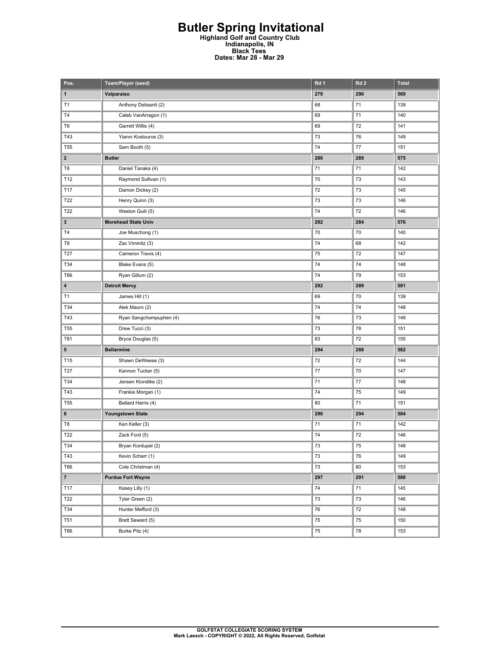## **Butler Spring Invitational Highland Golf and Country Club Indianapolis, IN Black Tees Dates: Mar 28 - Mar 29**

| Pos.            | <b>Team/Player (seed)</b>  | Rd 1       | Rd <sub>2</sub> | <b>Total</b> |
|-----------------|----------------------------|------------|-----------------|--------------|
| 1               | Valparaiso                 | 279        | 290             | 569          |
| T1              | Anthony Delisanti (2)      | 68         | 71              | 139          |
| T4              | Caleb VanArragon (1)       | 69         | 71              | 140          |
| T <sub>6</sub>  | Garrett Willis (4)         | 69         | 72              | 141          |
| T43             | Yianni Kostouros (3)       | 73         | 76              | 149          |
| T <sub>55</sub> | Sam Booth (5)              | 74         | 77              | 151          |
| $\mathbf{2}$    | <b>Butler</b>              | 286        | 289             | 575          |
| T8              | Daniel Tanaka (4)          | 71         | 71              | 142          |
| T12             | Raymond Sullivan (1)       | 70         | 73              | 143          |
| T17             | Damon Dickey (2)           | 72         | 73              | 145          |
| T22             | Henry Quinn (3)            | 73         | 73              | 146          |
| T22             | Weston Guili (5)           | 74         | 72              | 146          |
| $\mathbf{3}$    | <b>Morehead State Univ</b> | 292        | 284             | 576          |
| T <sub>4</sub>  | Joe Muschong (1)           | 70         | 70              | 140          |
| T8              | Zac Viminitz (3)           | 74         | 68              | 142          |
| T27             | Cameron Travis (4)         | 75         | 72              | 147          |
| T34             | Blake Evans (5)            | 74         | 74              | 148          |
| T66             | Ryan Gillum (2)            | 74         | 79              | 153          |
| 4               | <b>Detroit Mercy</b>       | 292        | 289             | 581          |
| T1              | James Hill (1)             | 69         | 70              | 139          |
| T34             | Alek Mauro (2)             | 74         | 74              | 148          |
| T43             | Ryan Sangchompuphen (4)    | 76         | 73              | 149          |
| <b>T55</b>      | Drew Tucci (3)             | 73         | 78              | 151          |
| T81             | Bryce Douglas (5)          | 83         | 72              | 155          |
| 5               | <b>Bellarmine</b>          | 294        | 288             | 582          |
| T15             | Shawn DeWeese (3)          | 72         | 72              | 144          |
| T27             | Kannon Tucker (5)          | $77 \,$    | 70              | 147          |
| T34             | Jensen Klondike (2)        | 71         | 77              | 148          |
| T43             | Frankie Morgan (1)         | 74         | 75              | 149          |
| T <sub>55</sub> | Ballard Harris (4)         | 80         | 71              | 151          |
| 6               | Youngstown State           | 290        | 294             | 584          |
| T8              | Ken Keller (3)             | 71         | 71              | 142          |
| T22             | Zack Ford (5)              | 74         | 72              | 146          |
| T34             | Bryan Kordupel (2)         | 73         | 75              | 148          |
| T43             | Kevin Scherr (1)           | 73         | 76              | 149          |
| T66             | Cole Christman (4)         | 73         | 80              | 153          |
| $\mathbf{7}$    | <b>Purdue Fort Wayne</b>   | 297        | 291             | 588          |
| T17             | Kasey Lilly (1)            | 74         | 71              | 145          |
| T22             | Tyler Green (2)            | 73         | 73              | 146          |
| T34             | Hunter Mefford (3)         | 76         | 72              | 148          |
| <b>T51</b>      | Brett Seward (5)           | ${\bf 75}$ | 75              | 150          |
| T66             | Burke Pitz (4)             | 75         | 78              | 153          |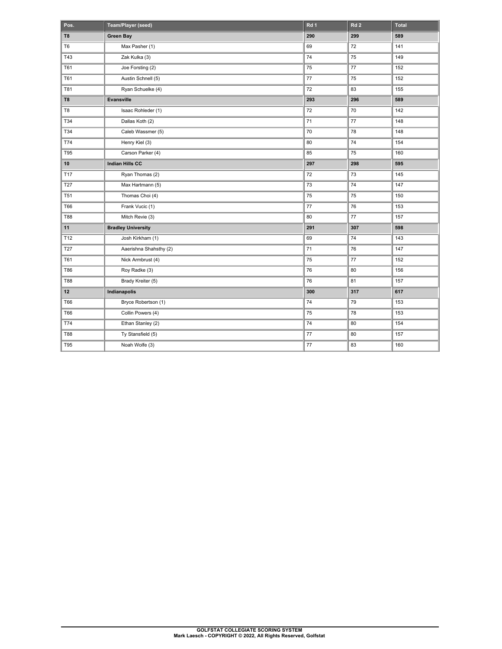| Pos.           | Team/Player (seed)        | Rd 1 | Rd <sub>2</sub> | <b>Total</b> |
|----------------|---------------------------|------|-----------------|--------------|
| T <sub>8</sub> | <b>Green Bay</b>          | 290  | 299             | 589          |
| T <sub>6</sub> | Max Pasher (1)            | 69   | 72              | 141          |
| <b>T43</b>     | Zak Kulka (3)             | 74   | 75              | 149          |
| <b>T61</b>     | Joe Forsting (2)          | 75   | 77              | 152          |
| T61            | Austin Schnell (5)        | 77   | 75              | 152          |
| <b>T81</b>     | Ryan Schuelke (4)         | 72   | 83              | 155          |
| T8             | Evansville                | 293  | 296             | 589          |
| T8             | Isaac Rohleder (1)        | 72   | 70              | 142          |
| T34            | Dallas Koth (2)           | 71   | 77              | 148          |
| T34            | Caleb Wassmer (5)         | 70   | 78              | 148          |
| <b>T74</b>     | Henry Kiel (3)            | 80   | 74              | 154          |
| <b>T95</b>     | Carson Parker (4)         | 85   | 75              | 160          |
| 10             | Indian Hills CC           | 297  | 298             | 595          |
| T17            | Ryan Thomas (2)           | 72   | 73              | 145          |
| <b>T27</b>     | Max Hartmann (5)          | 73   | 74              | 147          |
| <b>T51</b>     | Thomas Choi (4)           | 75   | 75              | 150          |
| <b>T66</b>     | Frank Vucic (1)           | 77   | 76              | 153          |
| <b>T88</b>     | Mitch Revie (3)           | 80   | 77              | 157          |
| 11             | <b>Bradley University</b> | 291  | 307             | 598          |
| T12            | Josh Kirkham (1)          | 69   | 74              | 143          |
| T27            | Aaerishna Shahsthy (2)    | 71   | 76              | 147          |
| T61            | Nick Armbrust (4)         | 75   | 77              | 152          |
| <b>T86</b>     | Roy Radke (3)             | 76   | 80              | 156          |
| <b>T88</b>     | Brady Kreiter (5)         | 76   | 81              | 157          |
| 12             | Indianapolis              | 300  | 317             | 617          |
| <b>T66</b>     | Bryce Robertson (1)       | 74   | 79              | 153          |
| T66            | Collin Powers (4)         | 75   | 78              | 153          |
| T74            | Ethan Stanley (2)         | 74   | 80              | 154          |
| T88            | Ty Stansfield (5)         | 77   | 80              | 157          |
| T95            | Noah Wolfe (3)            | 77   | 83              | 160          |